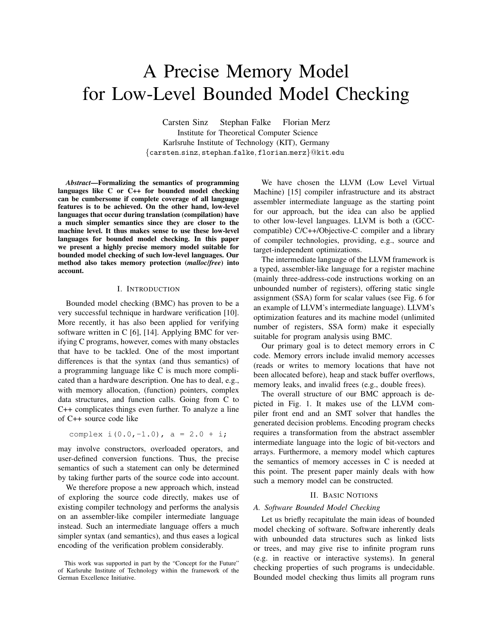# A Precise Memory Model for Low-Level Bounded Model Checking

Carsten Sinz Stephan Falke Florian Merz Institute for Theoretical Computer Science Karlsruhe Institute of Technology (KIT), Germany {carsten.sinz, stephan.falke, florian.merz}@kit.edu

*Abstract*—Formalizing the semantics of programming languages like C or C++ for bounded model checking can be cumbersome if complete coverage of all language features is to be achieved. On the other hand, low-level languages that occur during translation (compilation) have a much simpler semantics since they are closer to the machine level. It thus makes sense to use these low-level languages for bounded model checking. In this paper we present a highly precise memory model suitable for bounded model checking of such low-level languages. Our method also takes memory protection (*malloc*/*free*) into account.

## I. INTRODUCTION

Bounded model checking (BMC) has proven to be a very successful technique in hardware verification [10]. More recently, it has also been applied for verifying software written in C [6], [14]. Applying BMC for verifying C programs, however, comes with many obstacles that have to be tackled. One of the most important differences is that the syntax (and thus semantics) of a programming language like C is much more complicated than a hardware description. One has to deal, e.g., with memory allocation, (function) pointers, complex data structures, and function calls. Going from C to C++ complicates things even further. To analyze a line of C++ source code like

complex  $i(0.0, -1.0)$ ,  $a = 2.0 + i;$ 

may involve constructors, overloaded operators, and user-defined conversion functions. Thus, the precise semantics of such a statement can only be determined by taking further parts of the source code into account.

We therefore propose a new approach which, instead of exploring the source code directly, makes use of existing compiler technology and performs the analysis on an assembler-like compiler intermediate language instead. Such an intermediate language offers a much simpler syntax (and semantics), and thus eases a logical encoding of the verification problem considerably.

We have chosen the LLVM (Low Level Virtual Machine) [15] compiler infrastructure and its abstract assembler intermediate language as the starting point for our approach, but the idea can also be applied to other low-level languages. LLVM is both a (GCCcompatible) C/C++/Objective-C compiler and a library of compiler technologies, providing, e.g., source and target-independent optimizations.

The intermediate language of the LLVM framework is a typed, assembler-like language for a register machine (mainly three-address-code instructions working on an unbounded number of registers), offering static single assignment (SSA) form for scalar values (see Fig. 6 for an example of LLVM's intermediate language). LLVM's optimization features and its machine model (unlimited number of registers, SSA form) make it especially suitable for program analysis using BMC.

Our primary goal is to detect memory errors in C code. Memory errors include invalid memory accesses (reads or writes to memory locations that have not been allocated before), heap and stack buffer overflows, memory leaks, and invalid frees (e.g., double frees).

The overall structure of our BMC approach is depicted in Fig. 1. It makes use of the LLVM compiler front end and an SMT solver that handles the generated decision problems. Encoding program checks requires a transformation from the abstract assembler intermediate language into the logic of bit-vectors and arrays. Furthermore, a memory model which captures the semantics of memory accesses in C is needed at this point. The present paper mainly deals with how such a memory model can be constructed.

## II. BASIC NOTIONS

#### *A. Software Bounded Model Checking*

Let us briefly recapitulate the main ideas of bounded model checking of software. Software inherently deals with unbounded data structures such as linked lists or trees, and may give rise to infinite program runs (e.g. in reactive or interactive systems). In general checking properties of such programs is undecidable. Bounded model checking thus limits all program runs

This work was supported in part by the "Concept for the Future" of Karlsruhe Institute of Technology within the framework of the German Excellence Initiative.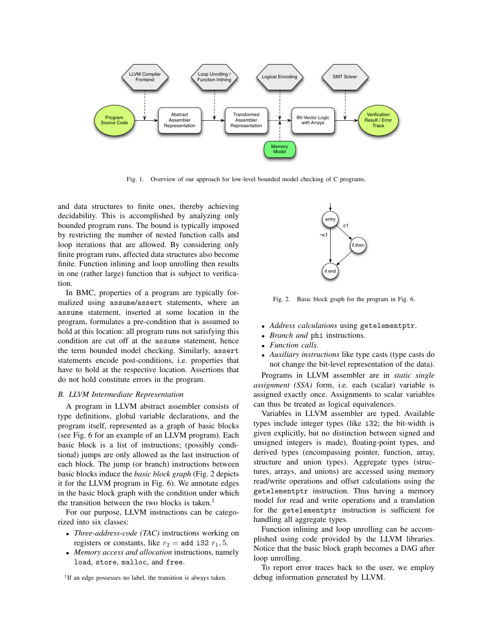

Fig. 1. Overview of our approach for low-level bounded model checking of C programs.

and data structures to finite ones, thereby achieving decidability. This is accomplished by analyzing only bounded program runs. The bound is typically imposed by restricting the number of nested function calls and loop iterations that are allowed. By considering only finite program runs, affected data structures also become finite. Function inlining and loop unrolling then results in one (rather large) function that is subject to verification.

In BMC, properties of a program are typically formalized using assume/assert statements, where an assume statement, inserted at some location in the program, formulates a pre-condition that is assumed to hold at this location: all program runs not satisfying this condition are cut off at the assume statement, hence the term bounded model checking. Similarly, assert statements encode post-conditions, i.e. properties that have to hold at the respective location. Assertions that do not hold constitute errors in the program.

#### *B. LLVM Intermediate Representation*

A program in LLVM abstract assembler consists of type definitions, global variable declarations, and the program itself, represented as a graph of basic blocks (see Fig. 6 for an example of an LLVM program). Each basic block is a list of instructions; (possibly conditional) jumps are only allowed as the last instruction of each block. The jump (or branch) instructions between basic blocks induce the *basic block graph* (Fig. 2 depicts it for the LLVM program in Fig. 6). We annotate edges in the basic block graph with the condition under which the transition between the two blocks is taken. $<sup>1</sup>$ </sup>

For our purpose, LLVM instructions can be categorized into six classes:

- *Three-address-code (TAC)* instructions working on registers or constants, like  $r_2$  = add i32  $r_1$ , 5.
- *Memory access and allocation* instructions, namely load, store, malloc, and free.





Fig. 2. Basic block graph for the program in Fig. 6.

- *Address calculations* using getelementptr.
- *Branch and* phi instructions.
- *Function calls.*
- *Auxiliary instructions* like type casts (type casts do not change the bit-level representation of the data).

Programs in LLVM assembler are in *static single assignment (SSA)* form, i.e. each (scalar) variable is assigned exactly once. Assignments to scalar variables can thus be treated as logical equivalences.

Variables in LLVM assembler are typed. Available types include integer types (like i32; the bit-width is given explicitly, but no distinction between signed and unsigned integers is made), floating-point types, and derived types (encompassing pointer, function, array, structure and union types). Aggregate types (structures, arrays, and unions) are accessed using memory read/write operations and offset calculations using the getelementptr instruction. Thus having a memory model for read and write operations and a translation for the getelementptr instruction is sufficient for handling all aggregate types.

Function inlining and loop unrolling can be accomplished using code provided by the LLVM libraries. Notice that the basic block graph becomes a DAG after loop unrolling.

To report error traces back to the user, we employ debug information generated by LLVM.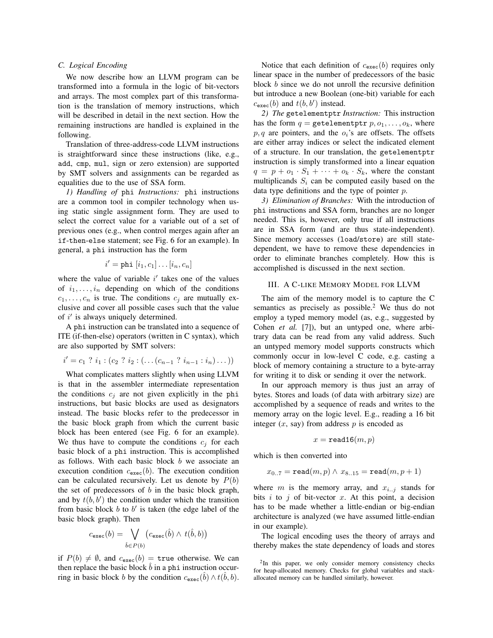#### *C. Logical Encoding*

We now describe how an LLVM program can be transformed into a formula in the logic of bit-vectors and arrays. The most complex part of this transformation is the translation of memory instructions, which will be described in detail in the next section. How the remaining instructions are handled is explained in the following.

Translation of three-address-code LLVM instructions is straightforward since these instructions (like, e.g., add, cmp, mul, sign or zero extension) are supported by SMT solvers and assignments can be regarded as equalities due to the use of SSA form.

*1) Handling of* phi *Instructions:* phi instructions are a common tool in compiler technology when using static single assignment form. They are used to select the correct value for a variable out of a set of previous ones (e.g., when control merges again after an if-then-else statement; see Fig. 6 for an example). In general, a phi instruction has the form

$$
i' = \text{phi}[i_1, c_1] \dots [i_n, c_n]
$$

where the value of variable  $i'$  takes one of the values of  $i_1, \ldots, i_n$  depending on which of the conditions  $c_1, \ldots, c_n$  is true. The conditions  $c_i$  are mutually exclusive and cover all possible cases such that the value of  $i'$  is always uniquely determined.

A phi instruction can be translated into a sequence of ITE (if-then-else) operators (written in C syntax), which are also supported by SMT solvers:

$$
i' = c_1 ? i_1 : (c_2 ? i_2 : (... (c_{n-1} ? i_{n-1} : i_n) ...))
$$

What complicates matters slightly when using LLVM is that in the assembler intermediate representation the conditions  $c_j$  are not given explicitly in the phi instructions, but basic blocks are used as designators instead. The basic blocks refer to the predecessor in the basic block graph from which the current basic block has been entered (see Fig. 6 for an example). We thus have to compute the conditions  $c_j$  for each basic block of a phi instruction. This is accomplished as follows. With each basic block  $b$  we associate an execution condition  $c_{\text{exec}}(b)$ . The execution condition can be calculated recursively. Let us denote by  $P(b)$ the set of predecessors of  $b$  in the basic block graph, and by  $t(b, b')$  the condition under which the transition from basic block  $b$  to  $b'$  is taken (the edge label of the basic block graph). Then

$$
c_{\texttt{exec}}(b) = \bigvee_{\hat{b} \in P(b)} (c_{\texttt{exec}}(\hat{b}) \land t(\hat{b}, b))
$$

if  $P(b) \neq \emptyset$ , and  $c_{\text{exec}}(b) = \text{true}$  otherwise. We can then replace the basic block  $\bar{b}$  in a phi instruction occurring in basic block b by the condition  $c_{\text{exec}}(\hat{b}) \wedge t(\hat{b}, b)$ .

Notice that each definition of  $c_{\text{exec}}(b)$  requires only linear space in the number of predecessors of the basic block b since we do not unroll the recursive definition but introduce a new Boolean (one-bit) variable for each  $c_{\text{exec}}(b)$  and  $t(b, b')$  instead.

*2) The* getelementptr *Instruction:* This instruction has the form  $q =$  getelementptr  $p, o_1, \ldots, o_k$ , where  $p, q$  are pointers, and the  $o_i$ 's are offsets. The offsets are either array indices or select the indicated element of a structure. In our translation, the getelementptr instruction is simply transformed into a linear equation  $q = p + o_1 \cdot S_1 + \cdots + o_k \cdot S_k$ , where the constant multiplicands  $S_i$  can be computed easily based on the data type definitions and the type of pointer p.

*3) Elimination of Branches:* With the introduction of phi instructions and SSA form, branches are no longer needed. This is, however, only true if all instructions are in SSA form (and are thus state-independent). Since memory accesses (load/store) are still statedependent, we have to remove these dependencies in order to eliminate branches completely. How this is accomplished is discussed in the next section.

#### III. A C-LIKE MEMORY MODEL FOR LLVM

The aim of the memory model is to capture the C semantics as precisely as possible.<sup>2</sup> We thus do not employ a typed memory model (as, e.g., suggested by Cohen *et al.* [7]), but an untyped one, where arbitrary data can be read from any valid address. Such an untyped memory model supports constructs which commonly occur in low-level C code, e.g. casting a block of memory containing a structure to a byte-array for writing it to disk or sending it over the network.

In our approach memory is thus just an array of bytes. Stores and loads (of data with arbitrary size) are accomplished by a sequence of reads and writes to the memory array on the logic level. E.g., reading a 16 bit integer  $(x, say)$  from address  $p$  is encoded as

$$
x = \mathtt{read16}(m, p)
$$

which is then converted into

$$
x_{0..7} = \texttt{read}(m, p) \land x_{8..15} = \texttt{read}(m, p + 1)
$$

where m is the memory array, and  $x_{i,j}$  stands for bits i to j of bit-vector x. At this point, a decision has to be made whether a little-endian or big-endian architecture is analyzed (we have assumed little-endian in our example).

The logical encoding uses the theory of arrays and thereby makes the state dependency of loads and stores

<sup>&</sup>lt;sup>2</sup>In this paper, we only consider memory consistency checks for heap-allocated memory. Checks for global variables and stackallocated memory can be handled similarly, however.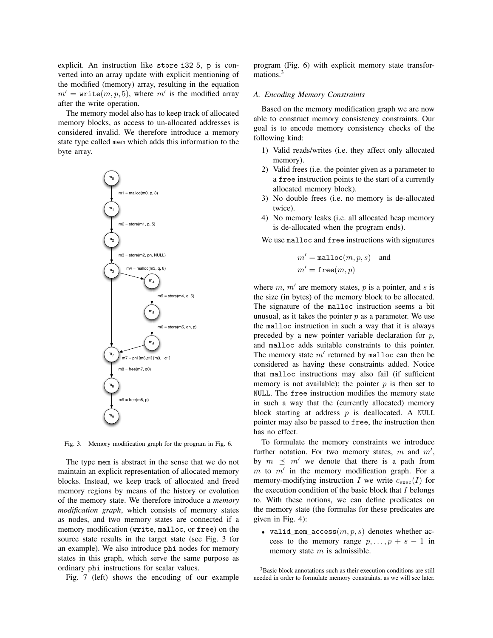explicit. An instruction like store i32 5, p is converted into an array update with explicit mentioning of the modified (memory) array, resulting in the equation  $m' =$  write $(m, p, 5)$ , where m' is the modified array after the write operation.

The memory model also has to keep track of allocated memory blocks, as access to un-allocated addresses is considered invalid. We therefore introduce a memory state type called mem which adds this information to the byte array.



Fig. 3. Memory modification graph for the program in Fig. 6.

The type mem is abstract in the sense that we do not maintain an explicit representation of allocated memory blocks. Instead, we keep track of allocated and freed memory regions by means of the history or evolution of the memory state. We therefore introduce a *memory modification graph*, which consists of memory states as nodes, and two memory states are connected if a memory modification (write, malloc, or free) on the source state results in the target state (see Fig. 3 for an example). We also introduce phi nodes for memory states in this graph, which serve the same purpose as ordinary phi instructions for scalar values.

Fig. 7 (left) shows the encoding of our example

program (Fig. 6) with explicit memory state transformations.<sup>3</sup>

#### *A. Encoding Memory Constraints*

Based on the memory modification graph we are now able to construct memory consistency constraints. Our goal is to encode memory consistency checks of the following kind:

- 1) Valid reads/writes (i.e. they affect only allocated memory).
- 2) Valid frees (i.e. the pointer given as a parameter to a free instruction points to the start of a currently allocated memory block).
- 3) No double frees (i.e. no memory is de-allocated twice).
- 4) No memory leaks (i.e. all allocated heap memory is de-allocated when the program ends).

We use malloc and free instructions with signatures

$$
m' = \texttt{malloc}(m, p, s) \quad \text{and} \quad m' = \texttt{free}(m, p)
$$

where  $m$ ,  $m'$  are memory states,  $p$  is a pointer, and  $s$  is the size (in bytes) of the memory block to be allocated. The signature of the malloc instruction seems a bit unusual, as it takes the pointer  $p$  as a parameter. We use the malloc instruction in such a way that it is always preceded by a new pointer variable declaration for  $p$ , and malloc adds suitable constraints to this pointer. The memory state  $m'$  returned by malloc can then be considered as having these constraints added. Notice that malloc instructions may also fail (if sufficient memory is not available); the pointer  $p$  is then set to NULL. The free instruction modifies the memory state in such a way that the (currently allocated) memory block starting at address  $p$  is deallocated. A NULL pointer may also be passed to free, the instruction then has no effect.

To formulate the memory constraints we introduce further notation. For two memory states,  $m$  and  $m'$ , by  $m \leq m'$  we denote that there is a path from  $m$  to  $m'$  in the memory modification graph. For a memory-modifying instruction I we write  $c_{\text{exec}}(I)$  for the execution condition of the basic block that  $I$  belongs to. With these notions, we can define predicates on the memory state (the formulas for these predicates are given in Fig. 4):

• valid\_mem\_access $(m, p, s)$  denotes whether access to the memory range  $p, \ldots, p + s - 1$  in memory state  $m$  is admissible.

<sup>&</sup>lt;sup>3</sup>Basic block annotations such as their execution conditions are still needed in order to formulate memory constraints, as we will see later.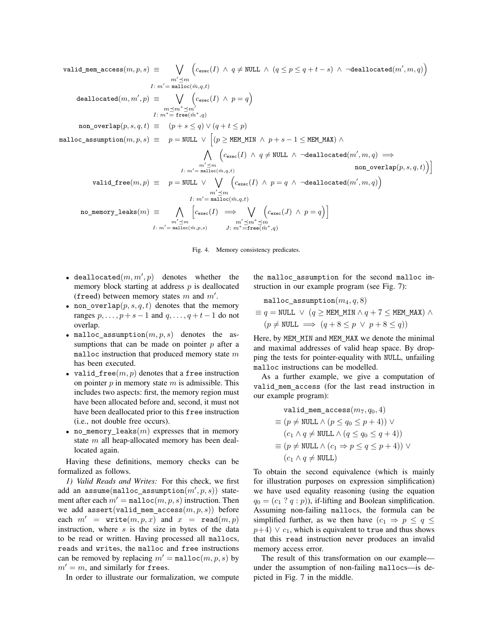$\texttt{valid\_mem\_access}(m, p, s) \; \equiv \; \quad \bigvee$  $m' \preceq m$  $I: m' = \overline{{\tt mailloc}}(\hat{m},q,t)$  $\bigl(c_{\texttt{exec}}(I) ~\land~ q \neq \texttt{NULL} ~\land~ (q \leq p \leq q+t-s) ~\land~ \neg \texttt{deadlocated}(m',m,q) \bigr)$  $\mathtt{deadlocated}(m,m',p) \ \equiv \hspace{5mm} \bigvee$  $m \preceq m^* \preceq m'$ <br>I:  $m^* = \mathtt{free}(\hat{m}^*,q)$  $\bigl(c_{\text{exec}}(I) \wedge p = q\bigr)$ non\_overlap $(p, s, q, t) \equiv (p + s \leq q) \vee (q + t \leq p)$  $\texttt{malloc\_assumption}(m, p, s) \ \equiv \quad p = \texttt{NULL} \ \lor \ \Big[(p \geq \texttt{MEM\_MIN} \ \land \ p + s - 1 \leq \texttt{MEM\_MAX}) \ \land \ \Big]$  $\wedge$  $m' \preceq m$ <br>  $I: m' = \text{malloc}(\hat{m}, q, t)$  $\Big( c_{\texttt{exec}}(I) \ \land \ q \neq \texttt{NULL} \ \land \ \neg \texttt{deadlocated}(m',m,q) \implies$  $\texttt{non\_overlap}(p,s,q,t) \big) \big]$ valid\_free $(m,p)$   $\equiv$   $\quad p =$  NULL  $\vee$   $\quad \bigvee \quad \Big( c_{\text{exec}}(I) \ \wedge \ p = q \ \wedge \ \neg \text{deadlocated}(m',m,q) \Big)$  $m' \preceq m$  $I: m'$  = malloc $(\hat m, q, t)$  ${\tt no\_memory\_leaks}(m) \; \equiv \; \quad \bigwedge$  $m' \preceq m$ <br>  $I: m' = \text{malloc}(\hat{m}, p, s)$  $\begin{bmatrix} c_{\text{exec}}(I) & \Longrightarrow & \bigvee \end{bmatrix}$  $m' \preceq m^* \preceq m$ <br>J:  $m^* = \mathbf{free}(\hat{m}^*, q)$  $\Big(c_{\text{exec}}(J) \wedge p = q\Big)\Big]$ 



- deallocated $(m, m', p)$  denotes whether the memory block starting at address  $p$  is deallocated (freed) between memory states  $m$  and  $m'$ .
- non overlap $(p, s, q, t)$  denotes that the memory ranges  $p, \ldots, p + s - 1$  and  $q, \ldots, q + t - 1$  do not overlap.
- malloc\_assumption $(m, p, s)$  denotes the assumptions that can be made on pointer  $p$  after a malloc instruction that produced memory state  $m$ has been executed.
- valid free $(m, p)$  denotes that a free instruction on pointer  $p$  in memory state  $m$  is admissible. This includes two aspects: first, the memory region must have been allocated before and, second, it must not have been deallocated prior to this free instruction (i.e., not double free occurs).
- no memory leaks  $(m)$  expresses that in memory state m all heap-allocated memory has been deallocated again.

Having these definitions, memory checks can be formalized as follows.

*1) Valid Reads and Writes:* For this check, we first add an assume $(\verb|main|oc_ \verb|assumption|(m', p, s))$  statement after each  $m' = \text{malloc}(m, p, s)$  instruction. Then we add assert(valid\_mem\_access $(m, p, s)$ ) before each  $m'$  = write $(m, p, x)$  and  $x$  = read $(m, p)$ instruction, where s is the size in bytes of the data to be read or written. Having processed all mallocs, reads and writes, the malloc and free instructions can be removed by replacing  $m' = \text{malloc}(m, p, s)$  by  $m' = m$ , and similarly for frees.

In order to illustrate our formalization, we compute

the malloc assumption for the second malloc instruction in our example program (see Fig. 7):

$$
\begin{aligned} &\texttt{malloc\_assumption}(m_4, q, 8) \\ &\equiv q = \texttt{NULL} \; \vee \; (q \geq \texttt{MEM\_MIN} \land q + 7 \leq \texttt{MEM\_MAX}) \; \land \\ &\; (p \neq \texttt{NULL} \implies (q + 8 \leq p \; \vee \; p + 8 \leq q)) \end{aligned}
$$

Here, by MEM MIN and MEM MAX we denote the minimal and maximal addresses of valid heap space. By dropping the tests for pointer-equality with NULL, unfailing malloc instructions can be modelled.

As a further example, we give a computation of valid mem access (for the last read instruction in our example program):

$$
\text{valid\_mem\_access}(m_7, q_0, 4)
$$
\n
$$
\equiv (p \neq \text{NULL} \land (p \leq q_0 \leq p + 4)) \lor
$$
\n
$$
(c_1 \land q \neq \text{NULL} \land (q \leq q_0 \leq q + 4))
$$
\n
$$
\equiv (p \neq \text{NULL} \land (c_1 \Rightarrow p \leq q \leq p + 4)) \lor
$$
\n
$$
(c_1 \land q \neq \text{NULL})
$$

To obtain the second equivalence (which is mainly for illustration purposes on expression simplification) we have used equality reasoning (using the equation  $q_0 = (c_1 ? q : p)$ , if-lifting and Boolean simplification. Assuming non-failing mallocs, the formula can be simplified further, as we then have  $(c_1 \Rightarrow p \leq q \leq$  $p+4$ )  $\vee$   $c_1$ , which is equivalent to true and thus shows that this read instruction never produces an invalid memory access error.

The result of this transformation on our example under the assumption of non-failing mallocs—is depicted in Fig. 7 in the middle.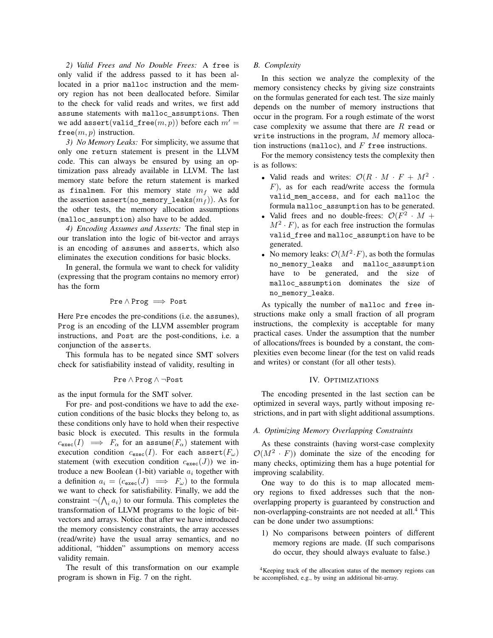*2) Valid Frees and No Double Frees:* A free is only valid if the address passed to it has been allocated in a prior malloc instruction and the memory region has not been deallocated before. Similar to the check for valid reads and writes, we first add assume statements with malloc\_assumptions. Then we add assert(valid\_free $(m, p)$ ) before each  $m' =$  $free(m, p)$  instruction.

*3) No Memory Leaks:* For simplicity, we assume that only one return statement is present in the LLVM code. This can always be ensured by using an optimization pass already available in LLVM. The last memory state before the return statement is marked as finalmem. For this memory state  $m_f$  we add the assertion assert(no\_memory\_leaks $(m_f)$ ). As for the other tests, the memory allocation assumptions (malloc assumption) also have to be added.

*4) Encoding Assumes and Asserts:* The final step in our translation into the logic of bit-vector and arrays is an encoding of assumes and asserts, which also eliminates the execution conditions for basic blocks.

In general, the formula we want to check for validity (expressing that the program contains no memory error) has the form

$$
\mathtt{Pre} \wedge \mathtt{Prog} \implies \mathtt{Post}
$$

Here Pre encodes the pre-conditions (i.e. the assumes), Prog is an encoding of the LLVM assembler program instructions, and Post are the post-conditions, i.e. a conjunction of the asserts.

This formula has to be negated since SMT solvers check for satisfiability instead of validity, resulting in

$$
\mathtt{Pre} \wedge \mathtt{Prog} \wedge \neg \mathtt{Post}
$$

as the input formula for the SMT solver.

For pre- and post-conditions we have to add the execution conditions of the basic blocks they belong to, as these conditions only have to hold when their respective basic block is executed. This results in the formula  $c_{\text{exec}}(I) \implies F_{\alpha}$  for an assume $(F_{\alpha})$  statement with execution condition  $c_{\text{exec}}(I)$ . For each assert( $F_{\omega}$ ) statement (with execution condition  $c_{\text{exec}}(J)$ ) we introduce a new Boolean (1-bit) variable  $a_i$  together with a definition  $a_i = (c_{\text{exec}}(J) \implies F_{\omega})$  to the formula we want to check for satisfiability. Finally, we add the constraint  $\neg(\bigwedge_i a_i)$  to our formula. This completes the transformation of LLVM programs to the logic of bitvectors and arrays. Notice that after we have introduced the memory consistency constraints, the array accesses (read/write) have the usual array semantics, and no additional, "hidden" assumptions on memory access validity remain.

The result of this transformation on our example program is shown in Fig. 7 on the right.

## *B. Complexity*

In this section we analyze the complexity of the memory consistency checks by giving size constraints on the formulas generated for each test. The size mainly depends on the number of memory instructions that occur in the program. For a rough estimate of the worst case complexity we assume that there are  $R$  read or write instructions in the program,  $M$  memory allocation instructions (malloc), and  $F$  free instructions.

For the memory consistency tests the complexity then is as follows:

- Valid reads and writes:  $\mathcal{O}(R \cdot M \cdot F + M^2 \cdot$  $F$ ), as for each read/write access the formula valid mem access, and for each malloc the formula malloc assumption has to be generated.
- Valid frees and no double-frees:  $\mathcal{O}(F^2 \cdot M +$  $M^2 \cdot F$ ), as for each free instruction the formulas valid free and malloc assumption have to be generated.
- No memory leaks:  $\mathcal{O}(M^2 \cdot F)$ , as both the formulas no memory leaks and malloc assumption have to be generated, and the size of malloc assumption dominates the size of no memory leaks.

As typically the number of malloc and free instructions make only a small fraction of all program instructions, the complexity is acceptable for many practical cases. Under the assumption that the number of allocations/frees is bounded by a constant, the complexities even become linear (for the test on valid reads and writes) or constant (for all other tests).

## IV. OPTIMIZATIONS

The encoding presented in the last section can be optimized in several ways, partly without imposing restrictions, and in part with slight additional assumptions.

#### *A. Optimizing Memory Overlapping Constraints*

As these constraints (having worst-case complexity  $\mathcal{O}(M^2 \cdot F)$  dominate the size of the encoding for many checks, optimizing them has a huge potential for improving scalability.

One way to do this is to map allocated memory regions to fixed addresses such that the nonoverlapping property is guaranteed by construction and non-overlapping-constraints are not needed at all.<sup>4</sup> This can be done under two assumptions:

1) No comparisons between pointers of different memory regions are made. (If such comparisons do occur, they should always evaluate to false.)

<sup>4</sup>Keeping track of the allocation status of the memory regions can be accomplished, e.g., by using an additional bit-array.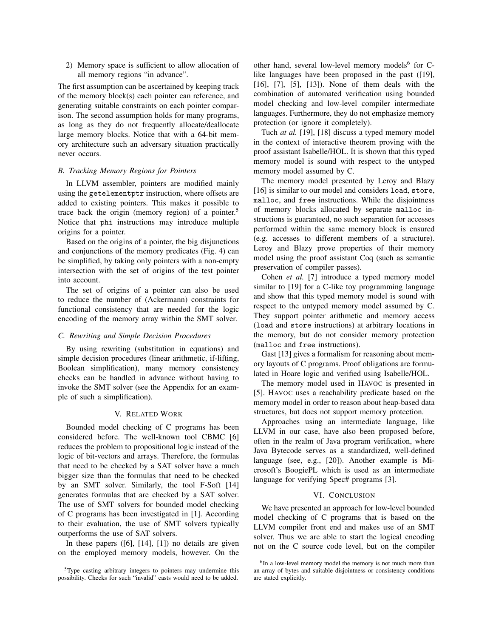2) Memory space is sufficient to allow allocation of all memory regions "in advance".

The first assumption can be ascertained by keeping track of the memory block(s) each pointer can reference, and generating suitable constraints on each pointer comparison. The second assumption holds for many programs, as long as they do not frequently allocate/deallocate large memory blocks. Notice that with a 64-bit memory architecture such an adversary situation practically never occurs.

## *B. Tracking Memory Regions for Pointers*

In LLVM assembler, pointers are modified mainly using the getelementptr instruction, where offsets are added to existing pointers. This makes it possible to trace back the origin (memory region) of a pointer.<sup>5</sup> Notice that phi instructions may introduce multiple origins for a pointer.

Based on the origins of a pointer, the big disjunctions and conjunctions of the memory predicates (Fig. 4) can be simplified, by taking only pointers with a non-empty intersection with the set of origins of the test pointer into account.

The set of origins of a pointer can also be used to reduce the number of (Ackermann) constraints for functional consistency that are needed for the logic encoding of the memory array within the SMT solver.

## *C. Rewriting and Simple Decision Procedures*

By using rewriting (substitution in equations) and simple decision procedures (linear arithmetic, if-lifting, Boolean simplification), many memory consistency checks can be handled in advance without having to invoke the SMT solver (see the Appendix for an example of such a simplification).

## V. RELATED WORK

Bounded model checking of C programs has been considered before. The well-known tool CBMC [6] reduces the problem to propositional logic instead of the logic of bit-vectors and arrays. Therefore, the formulas that need to be checked by a SAT solver have a much bigger size than the formulas that need to be checked by an SMT solver. Similarly, the tool F-Soft [14] generates formulas that are checked by a SAT solver. The use of SMT solvers for bounded model checking of C programs has been investigated in [1]. According to their evaluation, the use of SMT solvers typically outperforms the use of SAT solvers.

In these papers  $([6], [14], [1])$  no details are given on the employed memory models, however. On the

other hand, several low-level memory models<sup>6</sup> for Clike languages have been proposed in the past ([19], [16], [7], [5], [13]). None of them deals with the combination of automated verification using bounded model checking and low-level compiler intermediate languages. Furthermore, they do not emphasize memory protection (or ignore it completely).

Tuch *at al.* [19], [18] discuss a typed memory model in the context of interactive theorem proving with the proof assistant Isabelle/HOL. It is shown that this typed memory model is sound with respect to the untyped memory model assumed by C.

The memory model presented by Leroy and Blazy [16] is similar to our model and considers load, store, malloc, and free instructions. While the disjointness of memory blocks allocated by separate malloc instructions is guaranteed, no such separation for accesses performed within the same memory block is ensured (e.g. accesses to different members of a structure). Leroy and Blazy prove properties of their memory model using the proof assistant Coq (such as semantic preservation of compiler passes).

Cohen *et al.* [7] introduce a typed memory model similar to [19] for a C-like toy programming language and show that this typed memory model is sound with respect to the untyped memory model assumed by C. They support pointer arithmetic and memory access (load and store instructions) at arbitrary locations in the memory, but do not consider memory protection (malloc and free instructions).

Gast [13] gives a formalism for reasoning about memory layouts of C programs. Proof obligations are formulated in Hoare logic and verified using Isabelle/HOL.

The memory model used in HAVOC is presented in [5]. HAVOC uses a reachability predicate based on the memory model in order to reason about heap-based data structures, but does not support memory protection.

Approaches using an intermediate language, like LLVM in our case, have also been proposed before, often in the realm of Java program verification, where Java Bytecode serves as a standardized, well-defined language (see, e.g., [20]). Another example is Microsoft's BoogiePL which is used as an intermediate language for verifying Spec# programs [3].

#### VI. CONCLUSION

We have presented an approach for low-level bounded model checking of C programs that is based on the LLVM compiler front end and makes use of an SMT solver. Thus we are able to start the logical encoding not on the C source code level, but on the compiler

<sup>5</sup>Type casting arbitrary integers to pointers may undermine this possibility. Checks for such "invalid" casts would need to be added.

<sup>&</sup>lt;sup>6</sup>In a low-level memory model the memory is not much more than an array of bytes and suitable disjointness or consistency conditions are stated explicitly.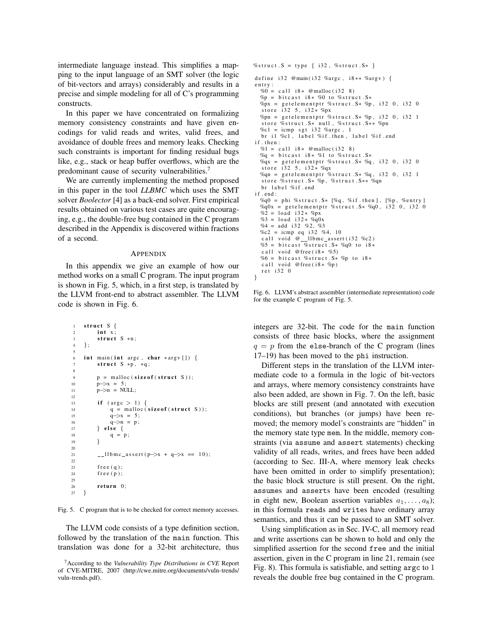intermediate language instead. This simplifies a mapping to the input language of an SMT solver (the logic of bit-vectors and arrays) considerably and results in a precise and simple modeling for all of C's programming constructs.

In this paper we have concentrated on formalizing memory consistency constraints and have given encodings for valid reads and writes, valid frees, and avoidance of double frees and memory leaks. Checking such constraints is important for finding residual bugs like, e.g., stack or heap buffer overflows, which are the predominant cause of security vulnerabilities.<sup>7</sup>

We are currently implementing the method proposed in this paper in the tool *LLBMC* which uses the SMT solver *Boolector* [4] as a back-end solver. First empirical results obtained on various test cases are quite encouraging, e.g., the double-free bug contained in the C program described in the Appendix is discovered within fractions of a second.

#### APPENDIX

In this appendix we give an example of how our method works on a small C program. The input program is shown in Fig. 5, which, in a first step, is translated by the LLVM front-end to abstract assembler. The LLVM code is shown in Fig. 6.

```
1 struct S {
2 int \bar{x}:
3 \quad \text{struct } S \ast n;
4 };
5
6 int main (int argc, char *argy []) {
7 struct S * p, * q;
8
p = \text{malloc}( \text{size} \cdot f(\text{struct} \cdot S)):
10 p \rightarrow x = 5;
11 p−>n = NULL;
12
13 if (\text{arg } c > 1) {
14 q = \text{malloc}(\text{size of } (\text{struct } S));15 q \rightarrow x = 5:
16 q−>n = p ;
17 } else {
q = p;<br>19 }
19 }
2021 l l b m c a s s e r t ( p−>x + q−>x == 1 0 ) ;
2223 free (q);
24 f r e e (p);
2526 return 0:
27 }
```
Fig. 5. C program that is to be checked for correct memory accesses.

The LLVM code consists of a type definition section, followed by the translation of the main function. This translation was done for a 32-bit architecture, thus

```
%struct.S = type { i32, %struct.S* }
define i32 @main(i32 %argc, i8** %argv) {
entry:
  % 0 = \text{call } i8 * @malloc ( i32 8 )\%p = bitcast i8* %0 to %struct.S*
  \%px = getelementptr %struct. S* %p, i32 0, i32 0
   store i32 5, i32* %px
  \%pn = getelementptr \%struct S* \%p, i32 0, i32 1
   store %struct. S* null, %struct. S** %pn
   % c1 = icmp sgt i32 % argc, 1<br>br il %c1, label %if.then, label %if.end
if . then :% 1 = \text{call } i8 * @malloc ( i32 8 )\%q = \text{bitcast } i8 * \%1 \text{ to } \% \text{struct } . S *\%qx = getelementptr \%struct. S* \%q, i32 0, i32 0
   store i32 5, i32* %qx
  \%qn = getelementptr \%struct. S* \%q, i32 0, i32 1
   store %struct . S* %p, %struct . S** %qn
   br label %if.end
if . end :
   %q0 = phi %struct S* [%q, %if then], [%p, %entry]<br>%q0x = getelementptr %struct S* %q0, i32 0, i32 0%
   %2 = load i32* %2x%3 = load i32* %q0x
  %4 = add i32 %2, *33%c2 = icmp eq i32 %4, 10<br>
call void @__llbmc_assert(i32 %c2)<br>%5 = bitcast %struct.S* %q0 to i8*
   c all void @ free (i 8 * \% 5)%6 = b i t c a s t %s t r u c t . S∗ %p t o i 8 ∗
   c a l l void @ free (i 8 * \%p)
   r e t i 32 0
}
```
Fig. 6. LLVM's abstract assembler (intermediate representation) code for the example C program of Fig. 5.

integers are 32-bit. The code for the main function consists of three basic blocks, where the assignment  $q = p$  from the else-branch of the C program (lines 17–19) has been moved to the phi instruction.

Different steps in the translation of the LLVM intermediate code to a formula in the logic of bit-vectors and arrays, where memory consistency constraints have also been added, are shown in Fig. 7. On the left, basic blocks are still present (and annotated with execution conditions), but branches (or jumps) have been removed; the memory model's constraints are "hidden" in the memory state type mem. In the middle, memory constraints (via assume and assert statements) checking validity of all reads, writes, and frees have been added (according to Sec. III-A, where memory leak checks have been omitted in order to simplify presentation); the basic block structure is still present. On the right, assumes and asserts have been encoded (resulting in eight new, Boolean assertion variables  $a_1, \ldots, a_8$ ); in this formula reads and writes have ordinary array semantics, and thus it can be passed to an SMT solver.

Using simplification as in Sec. IV-C, all memory read and write assertions can be shown to hold and only the simplified assertion for the second free and the initial assertion, given in the C program in line 21, remain (see Fig. 8). This formula is satisfiable, and setting argc to 1 reveals the double free bug contained in the C program.

<sup>7</sup>According to the *Vulnerability Type Distributions in CVE* Report of CVE-MITRE, 2007 (http://cwe.mitre.org/documents/vuln-trends/ vuln-trends.pdf).